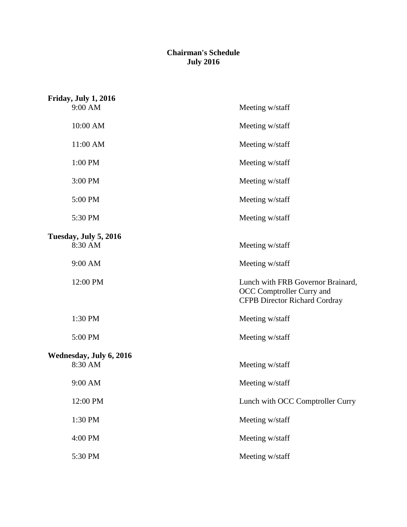#### **Chairman's Schedule July 2016**

| Friday, July 1, 2016               |                                                                                                        |
|------------------------------------|--------------------------------------------------------------------------------------------------------|
| 9:00 AM                            | Meeting w/staff                                                                                        |
| 10:00 AM                           | Meeting w/staff                                                                                        |
| 11:00 AM                           | Meeting w/staff                                                                                        |
| 1:00 PM                            | Meeting w/staff                                                                                        |
| 3:00 PM                            | Meeting w/staff                                                                                        |
| 5:00 PM                            | Meeting w/staff                                                                                        |
| 5:30 PM                            | Meeting w/staff                                                                                        |
|                                    |                                                                                                        |
| Tuesday, July 5, 2016<br>8:30 AM   | Meeting w/staff                                                                                        |
| 9:00 AM                            | Meeting w/staff                                                                                        |
| 12:00 PM                           | Lunch with FRB Governor Brainard,<br>OCC Comptroller Curry and<br><b>CFPB Director Richard Cordray</b> |
| 1:30 PM                            | Meeting w/staff                                                                                        |
| 5:00 PM                            | Meeting w/staff                                                                                        |
|                                    |                                                                                                        |
| Wednesday, July 6, 2016<br>8:30 AM | Meeting w/staff                                                                                        |
| 9:00 AM                            | Meeting w/staff                                                                                        |
| 12:00 PM                           | Lunch with OCC Comptroller Curry                                                                       |
| 1:30 PM                            | Meeting w/staff                                                                                        |
| 4:00 PM                            | Meeting w/staff                                                                                        |
| 5:30 PM                            | Meeting w/staff                                                                                        |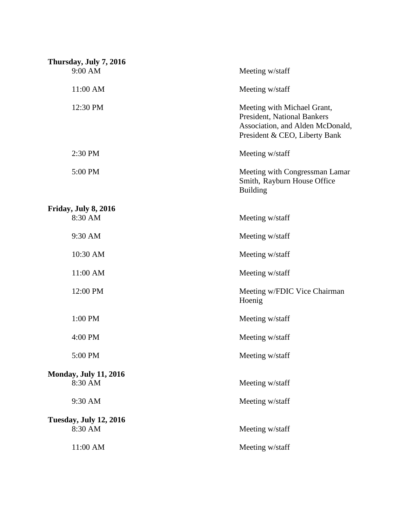| Thursday, July 7, 2016        |                                                                                                                                 |
|-------------------------------|---------------------------------------------------------------------------------------------------------------------------------|
| 9:00 AM                       | Meeting w/staff                                                                                                                 |
| 11:00 AM                      | Meeting w/staff                                                                                                                 |
| 12:30 PM                      | Meeting with Michael Grant,<br>President, National Bankers<br>Association, and Alden McDonald,<br>President & CEO, Liberty Bank |
| 2:30 PM                       | Meeting w/staff                                                                                                                 |
| 5:00 PM                       | Meeting with Congressman Lamar<br>Smith, Rayburn House Office<br><b>Building</b>                                                |
| Friday, July 8, 2016          |                                                                                                                                 |
| 8:30 AM                       | Meeting w/staff                                                                                                                 |
| 9:30 AM                       | Meeting w/staff                                                                                                                 |
| 10:30 AM                      | Meeting w/staff                                                                                                                 |
| 11:00 AM                      | Meeting w/staff                                                                                                                 |
| 12:00 PM                      | Meeting w/FDIC Vice Chairman<br>Hoenig                                                                                          |
| 1:00 PM                       | Meeting w/staff                                                                                                                 |
| 4:00 PM                       | Meeting w/staff                                                                                                                 |
| 5:00 PM                       | Meeting w/staff                                                                                                                 |
| <b>Monday, July 11, 2016</b>  |                                                                                                                                 |
| 8:30 AM                       | Meeting w/staff                                                                                                                 |
| 9:30 AM                       | Meeting w/staff                                                                                                                 |
| <b>Tuesday, July 12, 2016</b> |                                                                                                                                 |
| 8:30 AM                       | Meeting w/staff                                                                                                                 |
| 11:00 AM                      | Meeting w/staff                                                                                                                 |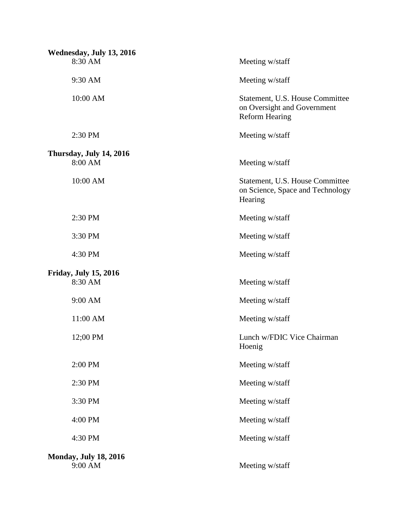| Wednesday, July 13, 2016                |                                                                                         |
|-----------------------------------------|-----------------------------------------------------------------------------------------|
| 8:30 AM                                 | Meeting w/staff                                                                         |
| 9:30 AM                                 | Meeting w/staff                                                                         |
| 10:00 AM                                | Statement, U.S. House Committee<br>on Oversight and Government<br><b>Reform Hearing</b> |
| 2:30 PM                                 | Meeting w/staff                                                                         |
| Thursday, July 14, 2016                 |                                                                                         |
| 8:00 AM                                 | Meeting w/staff                                                                         |
| 10:00 AM                                | Statement, U.S. House Committee<br>on Science, Space and Technology<br>Hearing          |
| 2:30 PM                                 | Meeting w/staff                                                                         |
| 3:30 PM                                 | Meeting w/staff                                                                         |
| 4:30 PM                                 | Meeting w/staff                                                                         |
| <b>Friday, July 15, 2016</b>            |                                                                                         |
| 8:30 AM                                 | Meeting w/staff                                                                         |
| 9:00 AM                                 | Meeting w/staff                                                                         |
| 11:00 AM                                | Meeting w/staff                                                                         |
| 12;00 PM                                | Lunch w/FDIC Vice Chairman<br>Hoenig                                                    |
| 2:00 PM                                 | Meeting w/staff                                                                         |
| 2:30 PM                                 | Meeting w/staff                                                                         |
| 3:30 PM                                 | Meeting w/staff                                                                         |
| 4:00 PM                                 | Meeting w/staff                                                                         |
| 4:30 PM                                 | Meeting w/staff                                                                         |
| <b>Monday, July 18, 2016</b><br>9:00 AM | Meeting w/staff                                                                         |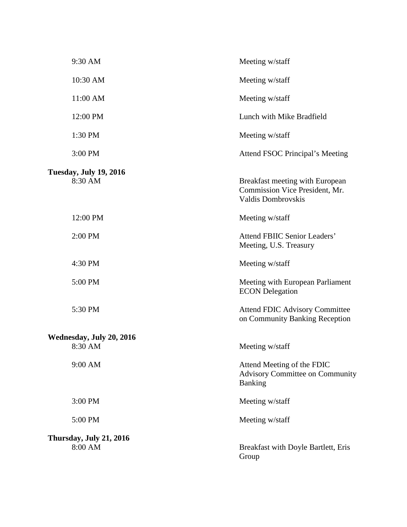| 9:30 AM                                  | Meeting w/staff                                                                         |
|------------------------------------------|-----------------------------------------------------------------------------------------|
| 10:30 AM                                 | Meeting w/staff                                                                         |
| 11:00 AM                                 | Meeting w/staff                                                                         |
| 12:00 PM                                 | Lunch with Mike Bradfield                                                               |
| 1:30 PM                                  | Meeting w/staff                                                                         |
| 3:00 PM                                  | Attend FSOC Principal's Meeting                                                         |
| <b>Tuesday, July 19, 2016</b><br>8:30 AM | Breakfast meeting with European<br>Commission Vice President, Mr.<br>Valdis Dombrovskis |
| 12:00 PM                                 | Meeting w/staff                                                                         |
| 2:00 PM                                  | <b>Attend FBIIC Senior Leaders'</b><br>Meeting, U.S. Treasury                           |
| 4:30 PM                                  | Meeting w/staff                                                                         |
| 5:00 PM                                  | Meeting with European Parliament<br><b>ECON</b> Delegation                              |
| 5:30 PM                                  | <b>Attend FDIC Advisory Committee</b><br>on Community Banking Reception                 |
| Wednesday, July 20, 2016<br>8:30 AM      | Meeting w/staff                                                                         |
|                                          |                                                                                         |
| 9:00 AM                                  | Attend Meeting of the FDIC<br><b>Advisory Committee on Community</b><br>Banking         |
| 3:00 PM                                  | Meeting w/staff                                                                         |
| 5:00 PM                                  | Meeting w/staff                                                                         |
| Thursday, July 21, 2016<br>8:00 AM       | Breakfast with Doyle Bartlett, Eris<br>Group                                            |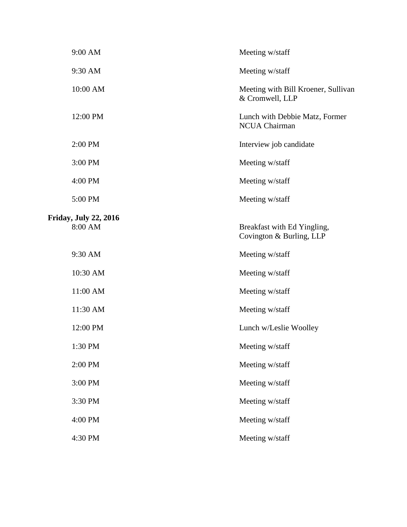| 9:00 AM                                 | Meeting w/staff                                         |
|-----------------------------------------|---------------------------------------------------------|
| 9:30 AM                                 | Meeting w/staff                                         |
| 10:00 AM                                | Meeting with Bill Kroener, Sullivan<br>& Cromwell, LLP  |
| 12:00 PM                                | Lunch with Debbie Matz, Former<br><b>NCUA Chairman</b>  |
| 2:00 PM                                 | Interview job candidate                                 |
| 3:00 PM                                 | Meeting w/staff                                         |
| 4:00 PM                                 | Meeting w/staff                                         |
| 5:00 PM                                 | Meeting w/staff                                         |
| <b>Friday, July 22, 2016</b><br>8:00 AM | Breakfast with Ed Yingling,<br>Covington & Burling, LLP |
| 9:30 AM                                 | Meeting w/staff                                         |
| 10:30 AM                                | Meeting w/staff                                         |
| 11:00 AM                                | Meeting w/staff                                         |
| 11:30 AM                                | Meeting w/staff                                         |
| 12:00 PM                                | Lunch w/Leslie Woolley                                  |
| 1:30 PM                                 | Meeting w/staff                                         |
| 2:00 PM                                 | Meeting w/staff                                         |
| 3:00 PM                                 | Meeting w/staff                                         |
| 3:30 PM                                 | Meeting w/staff                                         |
| 4:00 PM                                 | Meeting w/staff                                         |
| 4:30 PM                                 | Meeting w/staff                                         |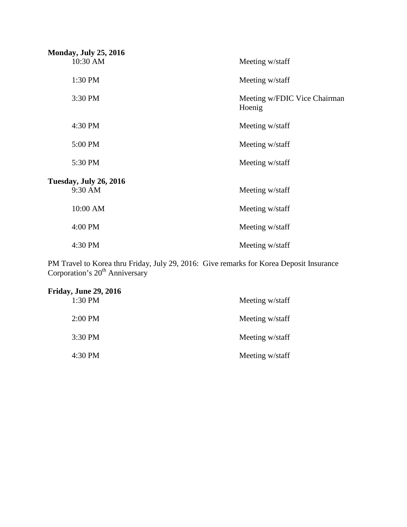| <b>Monday, July 25, 2016</b>             |                                        |
|------------------------------------------|----------------------------------------|
| 10:30 AM                                 | Meeting w/staff                        |
| 1:30 PM                                  | Meeting w/staff                        |
| 3:30 PM                                  | Meeting w/FDIC Vice Chairman<br>Hoenig |
| 4:30 PM                                  | Meeting w/staff                        |
| 5:00 PM                                  | Meeting w/staff                        |
| 5:30 PM                                  | Meeting w/staff                        |
|                                          |                                        |
| <b>Tuesday, July 26, 2016</b><br>9:30 AM | Meeting w/staff                        |
| 10:00 AM                                 | Meeting w/staff                        |
| 4:00 PM                                  | Meeting w/staff                        |
| 4:30 PM                                  | Meeting w/staff                        |

PM Travel to Korea thru Friday, July 29, 2016: Give remarks for Korea Deposit Insurance Corporation's 20<sup>th</sup> Anniversary

| <b>Friday, June 29, 2016</b> |                 |
|------------------------------|-----------------|
| 1:30 PM                      | Meeting w/staff |
| 2:00 PM                      | Meeting w/staff |
| 3:30 PM                      | Meeting w/staff |
| 4:30 PM                      | Meeting w/staff |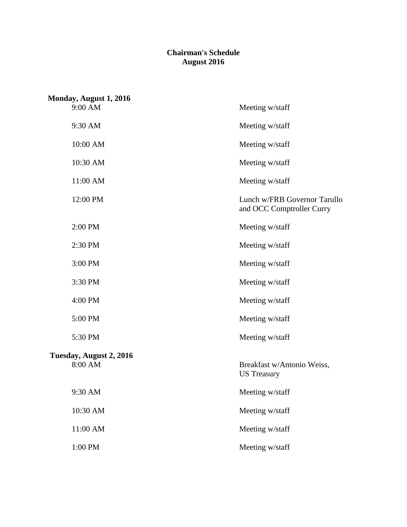### **Chairman's Schedule August 2016**

| Monday, August 1, 2016             |                                                           |
|------------------------------------|-----------------------------------------------------------|
| 9:00 AM                            | Meeting w/staff                                           |
| 9:30 AM                            | Meeting w/staff                                           |
| 10:00 AM                           | Meeting w/staff                                           |
| 10:30 AM                           | Meeting w/staff                                           |
| 11:00 AM                           | Meeting w/staff                                           |
| 12:00 PM                           | Lunch w/FRB Governor Tarullo<br>and OCC Comptroller Curry |
| 2:00 PM                            | Meeting w/staff                                           |
| 2:30 PM                            | Meeting w/staff                                           |
| 3:00 PM                            | Meeting w/staff                                           |
| 3:30 PM                            | Meeting w/staff                                           |
| 4:00 PM                            | Meeting w/staff                                           |
| 5:00 PM                            | Meeting w/staff                                           |
| 5:30 PM                            | Meeting w/staff                                           |
| Tuesday, August 2, 2016<br>8:00 AM | Breakfast w/Antonio Weiss,<br><b>US</b> Treasury          |
| 9:30 AM                            | Meeting w/staff                                           |
| 10:30 AM                           | Meeting w/staff                                           |
| 11:00 AM                           | Meeting w/staff                                           |
| $1:00 \; \mathrm{PM}$              | Meeting w/staff                                           |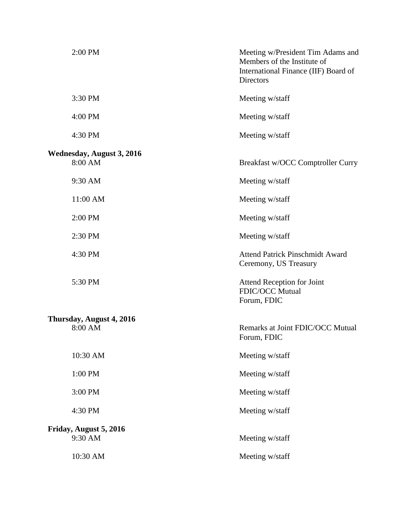| 2:00 PM                                     | Meeting w/President Tim Adams and<br>Members of the Institute of<br>International Finance (IIF) Board of<br><b>Directors</b> |
|---------------------------------------------|------------------------------------------------------------------------------------------------------------------------------|
| 3:30 PM                                     | Meeting w/staff                                                                                                              |
| 4:00 PM                                     | Meeting w/staff                                                                                                              |
| 4:30 PM                                     | Meeting w/staff                                                                                                              |
| <b>Wednesday, August 3, 2016</b><br>8:00 AM | Breakfast w/OCC Comptroller Curry                                                                                            |
| 9:30 AM                                     | Meeting w/staff                                                                                                              |
| 11:00 AM                                    | Meeting w/staff                                                                                                              |
| 2:00 PM                                     | Meeting w/staff                                                                                                              |
| 2:30 PM                                     | Meeting w/staff                                                                                                              |
| 4:30 PM                                     | <b>Attend Patrick Pinschmidt Award</b><br>Ceremony, US Treasury                                                              |
| 5:30 PM                                     | <b>Attend Reception for Joint</b><br>FDIC/OCC Mutual<br>Forum, FDIC                                                          |
| Thursday, August 4, 2016                    |                                                                                                                              |
| 8:00 AM                                     | Remarks at Joint FDIC/OCC Mutual<br>Forum, FDIC                                                                              |
| 10:30 AM                                    | Meeting w/staff                                                                                                              |
| 1:00 PM                                     | Meeting w/staff                                                                                                              |
| 3:00 PM                                     | Meeting w/staff                                                                                                              |
| 4:30 PM                                     | Meeting w/staff                                                                                                              |
| Friday, August 5, 2016                      |                                                                                                                              |
| 9:30 AM                                     | Meeting w/staff                                                                                                              |
| 10:30 AM                                    | Meeting w/staff                                                                                                              |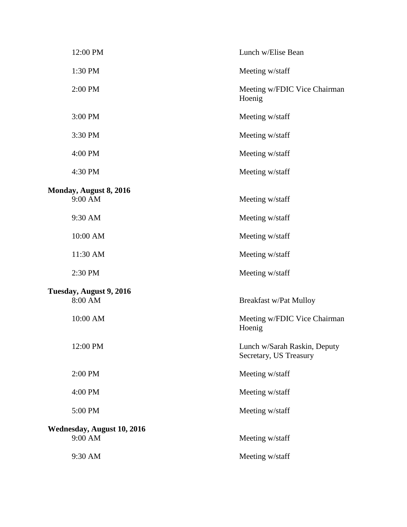| 12:00 PM                   | Lunch w/Elise Bean                                     |
|----------------------------|--------------------------------------------------------|
| 1:30 PM                    | Meeting w/staff                                        |
| 2:00 PM                    | Meeting w/FDIC Vice Chairman<br>Hoenig                 |
| 3:00 PM                    | Meeting w/staff                                        |
| 3:30 PM                    | Meeting w/staff                                        |
| 4:00 PM                    | Meeting w/staff                                        |
| 4:30 PM                    | Meeting w/staff                                        |
| Monday, August 8, 2016     |                                                        |
| 9:00 AM                    | Meeting w/staff                                        |
| 9:30 AM                    | Meeting w/staff                                        |
| 10:00 AM                   | Meeting w/staff                                        |
| 11:30 AM                   | Meeting w/staff                                        |
| 2:30 PM                    | Meeting w/staff                                        |
| Tuesday, August 9, 2016    |                                                        |
| 8:00 AM                    | <b>Breakfast w/Pat Mulloy</b>                          |
| 10:00 AM                   | Meeting w/FDIC Vice Chairman<br>Hoenig                 |
| 12:00 PM                   | Lunch w/Sarah Raskin, Deputy<br>Secretary, US Treasury |
| 2:00 PM                    | Meeting w/staff                                        |
| 4:00 PM                    | Meeting w/staff                                        |
| 5:00 PM                    | Meeting w/staff                                        |
| Wednesday, August 10, 2016 |                                                        |
| 9:00 AM                    | Meeting w/staff                                        |
| 9:30 AM                    | Meeting w/staff                                        |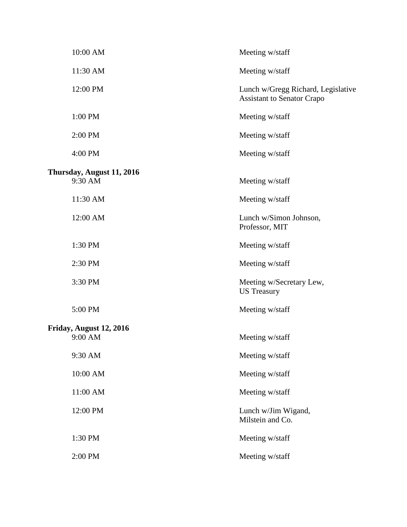| 10:00 AM                  | Meeting w/staff                                                         |
|---------------------------|-------------------------------------------------------------------------|
| 11:30 AM                  | Meeting w/staff                                                         |
| 12:00 PM                  | Lunch w/Gregg Richard, Legislative<br><b>Assistant to Senator Crapo</b> |
| 1:00 PM                   | Meeting w/staff                                                         |
| 2:00 PM                   | Meeting w/staff                                                         |
| 4:00 PM                   | Meeting w/staff                                                         |
|                           |                                                                         |
| Thursday, August 11, 2016 |                                                                         |
| 9:30 AM                   | Meeting w/staff                                                         |
| 11:30 AM                  | Meeting w/staff                                                         |
| 12:00 AM                  | Lunch w/Simon Johnson,<br>Professor, MIT                                |
| 1:30 PM                   | Meeting w/staff                                                         |
| 2:30 PM                   | Meeting w/staff                                                         |
| 3:30 PM                   | Meeting w/Secretary Lew,<br><b>US</b> Treasury                          |
| 5:00 PM                   | Meeting w/staff                                                         |
| Friday, August 12, 2016   |                                                                         |
| 9:00 AM                   | Meeting w/staff                                                         |
|                           |                                                                         |
| 9:30 AM                   | Meeting w/staff                                                         |
| 10:00 AM                  | Meeting w/staff                                                         |
| 11:00 AM                  | Meeting w/staff                                                         |
| 12:00 PM                  | Lunch w/Jim Wigand,<br>Milstein and Co.                                 |
| 1:30 PM                   | Meeting w/staff                                                         |
| 2:00 PM                   | Meeting w/staff                                                         |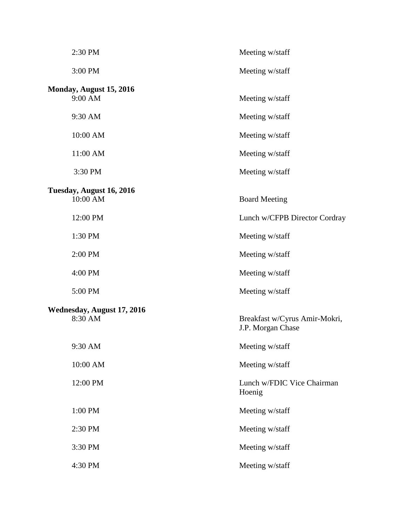| 2:30 PM                            | Meeting w/staff                                    |
|------------------------------------|----------------------------------------------------|
| 3:00 PM                            | Meeting w/staff                                    |
| Monday, August 15, 2016<br>9:00 AM | Meeting w/staff                                    |
| 9:30 AM                            | Meeting w/staff                                    |
| 10:00 AM                           | Meeting w/staff                                    |
| 11:00 AM                           | Meeting w/staff                                    |
| 3:30 PM                            | Meeting w/staff                                    |
| Tuesday, August 16, 2016           |                                                    |
| 10:00 AM                           | <b>Board Meeting</b>                               |
| 12:00 PM                           | Lunch w/CFPB Director Cordray                      |
| 1:30 PM                            | Meeting w/staff                                    |
| 2:00 PM                            | Meeting w/staff                                    |
| 4:00 PM                            | Meeting w/staff                                    |
| 5:00 PM                            | Meeting w/staff                                    |
| Wednesday, August 17, 2016         |                                                    |
| 8:30 AM                            | Breakfast w/Cyrus Amir-Mokri,<br>J.P. Morgan Chase |
| 9:30 AM                            | Meeting w/staff                                    |
| 10:00 AM                           | Meeting w/staff                                    |
| 12:00 PM                           | Lunch w/FDIC Vice Chairman<br>Hoenig               |
| 1:00 PM                            | Meeting w/staff                                    |
| 2:30 PM                            | Meeting w/staff                                    |
| 3:30 PM                            | Meeting w/staff                                    |
| 4:30 PM                            | Meeting w/staff                                    |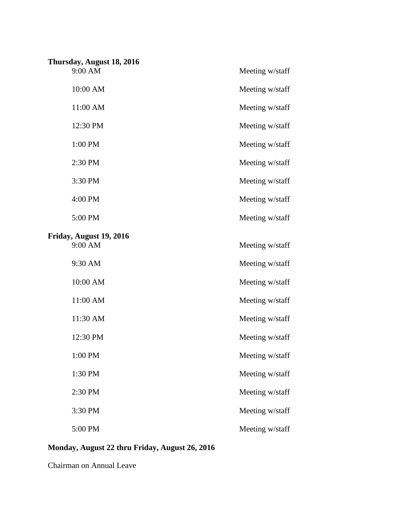| Thursday, August 18, 2016 |                 |
|---------------------------|-----------------|
| 9:00 AM                   | Meeting w/staff |
| 10:00 AM                  | Meeting w/staff |
| 11:00 AM                  | Meeting w/staff |
| 12:30 PM                  | Meeting w/staff |
| 1:00 PM                   | Meeting w/staff |
| 2:30 PM                   | Meeting w/staff |
| 3:30 PM                   | Meeting w/staff |
| 4:00 PM                   | Meeting w/staff |
| 5:00 PM                   | Meeting w/staff |
| Friday, August 19, 2016   |                 |
| 9:00 AM                   | Meeting w/staff |
| 9:30 AM                   | Meeting w/staff |
| 10:00 AM                  | Meeting w/staff |
| 11:00 AM                  | Meeting w/staff |
| 11:30 AM                  | Meeting w/staff |
| 12:30 PM                  | Meeting w/staff |
| 1:00 PM                   | Meeting w/staff |
| 1:30 PM                   | Meeting w/staff |
| 2:30 PM                   | Meeting w/staff |
| 3:30 PM                   | Meeting w/staff |
| 5:00 PM                   | Meeting w/staff |

## **Monday, August 22 thru Friday, August 26, 2016**

Chairman on Annual Leave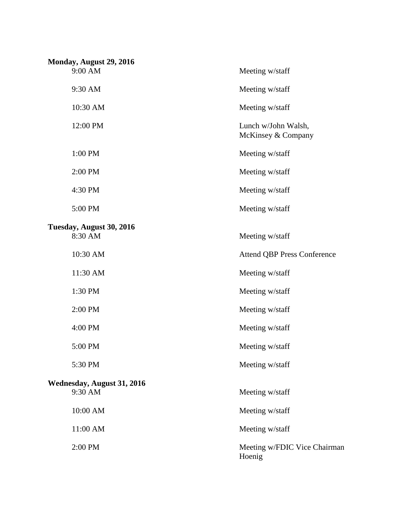| Monday, August 29, 2016    |                                           |
|----------------------------|-------------------------------------------|
| 9:00 AM                    | Meeting w/staff                           |
| 9:30 AM                    | Meeting w/staff                           |
| 10:30 AM                   | Meeting w/staff                           |
| 12:00 PM                   | Lunch w/John Walsh,<br>McKinsey & Company |
| 1:00 PM                    | Meeting w/staff                           |
| 2:00 PM                    | Meeting w/staff                           |
| 4:30 PM                    | Meeting w/staff                           |
| 5:00 PM                    | Meeting w/staff                           |
| Tuesday, August 30, 2016   |                                           |
| 8:30 AM                    | Meeting w/staff                           |
| 10:30 AM                   | <b>Attend QBP Press Conference</b>        |
| 11:30 AM                   | Meeting w/staff                           |
| 1:30 PM                    | Meeting w/staff                           |
| 2:00 PM                    | Meeting w/staff                           |
| 4:00 PM                    | Meeting w/staff                           |
| 5:00 PM                    | Meeting w/staff                           |
| 5:30 PM                    | Meeting w/staff                           |
| Wednesday, August 31, 2016 |                                           |
| 9:30 AM                    | Meeting w/staff                           |
| 10:00 AM                   | Meeting w/staff                           |
| 11:00 AM                   | Meeting w/staff                           |
| 2:00 PM                    | Meeting w/FDIC Vice Chairman<br>Hoenig    |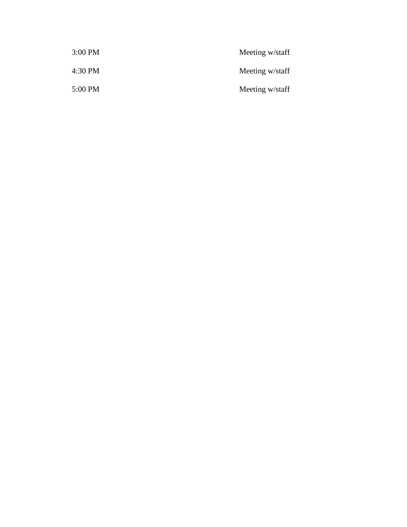| 3:00 PM | Meeting w/staff |
|---------|-----------------|
| 4:30 PM | Meeting w/staff |
| 5:00 PM | Meeting w/staff |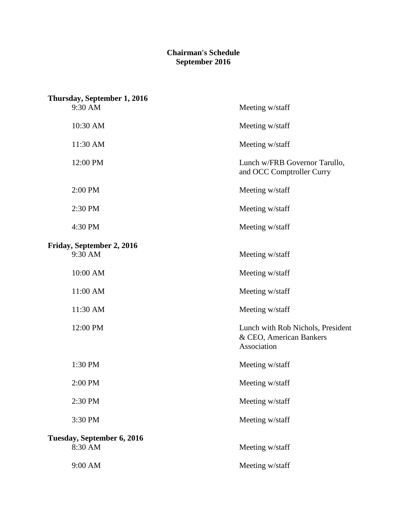### **Chairman's Schedule September 2016**

| Thursday, September 1, 2016 |                                                                             |
|-----------------------------|-----------------------------------------------------------------------------|
| 9:30 AM                     | Meeting w/staff                                                             |
| 10:30 AM                    | Meeting w/staff                                                             |
| 11:30 AM                    | Meeting w/staff                                                             |
| 12:00 PM                    | Lunch w/FRB Governor Tarullo,<br>and OCC Comptroller Curry                  |
| 2:00 PM                     | Meeting w/staff                                                             |
| 2:30 PM                     | Meeting w/staff                                                             |
| 4:30 PM                     | Meeting w/staff                                                             |
| Friday, September 2, 2016   |                                                                             |
| 9:30 AM                     | Meeting w/staff                                                             |
| 10:00 AM                    | Meeting w/staff                                                             |
| 11:00 AM                    | Meeting w/staff                                                             |
| 11:30 AM                    | Meeting w/staff                                                             |
| 12:00 PM                    | Lunch with Rob Nichols, President<br>& CEO, American Bankers<br>Association |
| 1:30 PM                     | Meeting w/staff                                                             |
| 2:00 PM                     | Meeting w/staff                                                             |
| 2:30 PM                     | Meeting w/staff                                                             |
| 3:30 PM                     | Meeting w/staff                                                             |
| Tuesday, September 6, 2016  |                                                                             |
| 8:30 AM                     | Meeting w/staff                                                             |
| 9:00 AM                     | Meeting w/staff                                                             |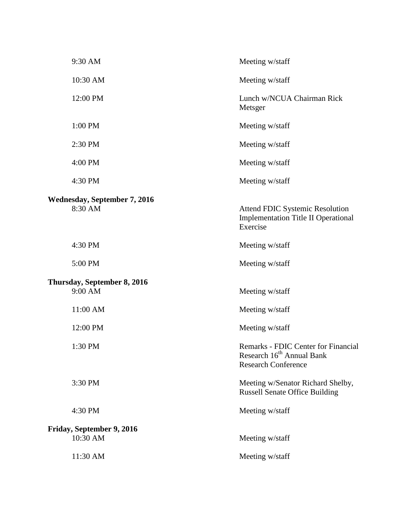| 9:30 AM                                        | Meeting w/staff                                                                                                   |
|------------------------------------------------|-------------------------------------------------------------------------------------------------------------------|
| 10:30 AM                                       | Meeting w/staff                                                                                                   |
| 12:00 PM                                       | Lunch w/NCUA Chairman Rick<br>Metsger                                                                             |
| 1:00 PM                                        | Meeting w/staff                                                                                                   |
| 2:30 PM                                        | Meeting w/staff                                                                                                   |
| 4:00 PM                                        | Meeting w/staff                                                                                                   |
| 4:30 PM                                        | Meeting w/staff                                                                                                   |
| <b>Wednesday, September 7, 2016</b><br>8:30 AM | <b>Attend FDIC Systemic Resolution</b><br><b>Implementation Title II Operational</b><br>Exercise                  |
| 4:30 PM                                        | Meeting w/staff                                                                                                   |
| 5:00 PM                                        | Meeting w/staff                                                                                                   |
| Thursday, September 8, 2016<br>9:00 AM         | Meeting w/staff                                                                                                   |
| 11:00 AM                                       | Meeting w/staff                                                                                                   |
| 12:00 PM                                       | Meeting w/staff                                                                                                   |
| 1:30 PM                                        | <b>Remarks - FDIC Center for Financial</b><br>Research 16 <sup>th</sup> Annual Bank<br><b>Research Conference</b> |
| 3:30 PM                                        | Meeting w/Senator Richard Shelby,<br><b>Russell Senate Office Building</b>                                        |
| 4:30 PM                                        | Meeting w/staff                                                                                                   |
| Friday, September 9, 2016<br>10:30 AM          | Meeting w/staff                                                                                                   |
| 11:30 AM                                       | Meeting w/staff                                                                                                   |
|                                                |                                                                                                                   |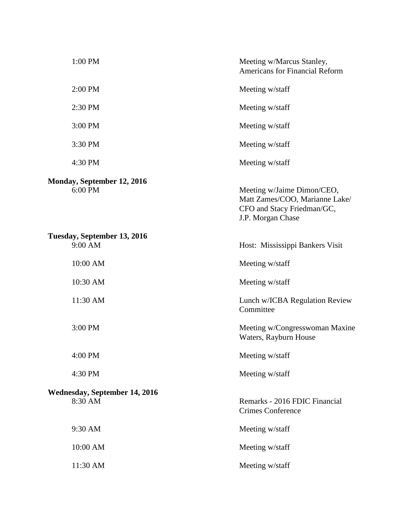| 1:00 PM                                         | Meeting w/Marcus Stanley,<br><b>Americans for Financial Reform</b>                                              |
|-------------------------------------------------|-----------------------------------------------------------------------------------------------------------------|
| 2:00 PM                                         | Meeting w/staff                                                                                                 |
| 2:30 PM                                         | Meeting w/staff                                                                                                 |
| 3:00 PM                                         | Meeting w/staff                                                                                                 |
| 3:30 PM                                         | Meeting w/staff                                                                                                 |
| 4:30 PM                                         | Meeting w/staff                                                                                                 |
| <b>Monday, September 12, 2016</b><br>6:00 PM    | Meeting w/Jaime Dimon/CEO,<br>Matt Zames/COO, Marianne Lake/<br>CFO and Stacy Friedman/GC,<br>J.P. Morgan Chase |
| Tuesday, September 13, 2016<br>9:00 AM          | Host: Mississippi Bankers Visit                                                                                 |
| 10:00 AM                                        | Meeting w/staff                                                                                                 |
| 10:30 AM                                        | Meeting w/staff                                                                                                 |
| 11:30 AM                                        | Lunch w/ICBA Regulation Review<br>Committee                                                                     |
| 3:00 PM                                         | Meeting w/Congresswoman Maxine<br>Waters, Rayburn House                                                         |
| 4:00 PM                                         | Meeting w/staff                                                                                                 |
| 4:30 PM                                         | Meeting w/staff                                                                                                 |
| <b>Wednesday, September 14, 2016</b><br>8:30 AM | Remarks - 2016 FDIC Financial<br><b>Crimes Conference</b>                                                       |
| 9:30 AM                                         | Meeting w/staff                                                                                                 |
| 10:00 AM                                        | Meeting w/staff                                                                                                 |
| 11:30 AM                                        | Meeting w/staff                                                                                                 |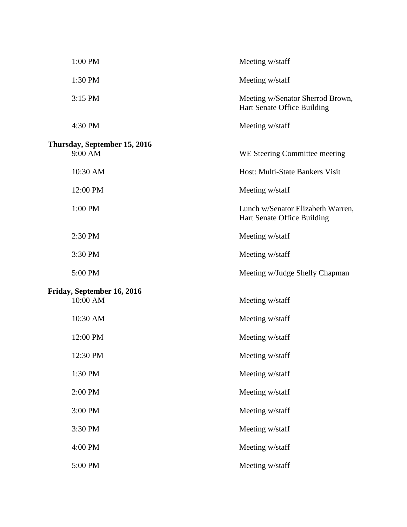| 1:00 PM                                 | Meeting w/staff                                                  |
|-----------------------------------------|------------------------------------------------------------------|
| 1:30 PM                                 | Meeting w/staff                                                  |
| 3:15 PM                                 | Meeting w/Senator Sherrod Brown,<br>Hart Senate Office Building  |
| 4:30 PM                                 | Meeting w/staff                                                  |
| Thursday, September 15, 2016<br>9:00 AM | WE Steering Committee meeting                                    |
| 10:30 AM                                | Host: Multi-State Bankers Visit                                  |
| 12:00 PM                                | Meeting w/staff                                                  |
| 1:00 PM                                 | Lunch w/Senator Elizabeth Warren,<br>Hart Senate Office Building |
| 2:30 PM                                 | Meeting w/staff                                                  |
| 3:30 PM                                 | Meeting w/staff                                                  |
| 5:00 PM                                 | Meeting w/Judge Shelly Chapman                                   |
| Friday, September 16, 2016<br>10:00 AM  | Meeting w/staff                                                  |
| 10:30 AM                                | Meeting w/staff                                                  |
| 12:00 PM                                | Meeting w/staff                                                  |
| 12:30 PM                                | Meeting w/staff                                                  |
| 1:30 PM                                 | Meeting w/staff                                                  |
| 2:00 PM                                 | Meeting w/staff                                                  |
| 3:00 PM                                 | Meeting w/staff                                                  |
| 3:30 PM                                 | Meeting w/staff                                                  |
| 4:00 PM                                 | Meeting w/staff                                                  |
| 5:00 PM                                 | Meeting w/staff                                                  |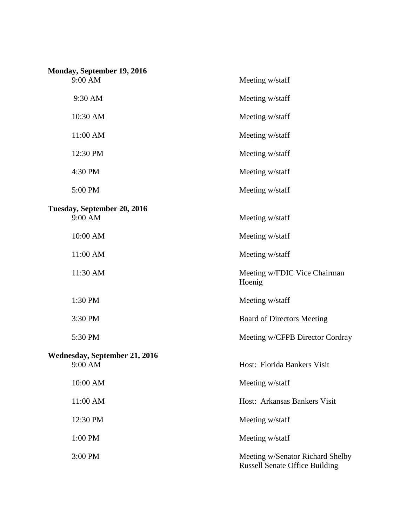| Monday, September 19, 2016           |                                                                           |  |  |
|--------------------------------------|---------------------------------------------------------------------------|--|--|
| 9:00 AM                              | Meeting w/staff                                                           |  |  |
| 9:30 AM                              | Meeting w/staff                                                           |  |  |
| 10:30 AM                             | Meeting w/staff                                                           |  |  |
| 11:00 AM                             | Meeting w/staff                                                           |  |  |
| 12:30 PM                             | Meeting w/staff                                                           |  |  |
| 4:30 PM                              | Meeting w/staff                                                           |  |  |
| 5:00 PM                              | Meeting w/staff                                                           |  |  |
| Tuesday, September 20, 2016          |                                                                           |  |  |
| 9:00 AM                              | Meeting w/staff                                                           |  |  |
| 10:00 AM                             | Meeting w/staff                                                           |  |  |
| 11:00 AM                             | Meeting w/staff                                                           |  |  |
| 11:30 AM                             | Meeting w/FDIC Vice Chairman<br>Hoenig                                    |  |  |
| 1:30 PM                              | Meeting w/staff                                                           |  |  |
| 3:30 PM                              | <b>Board of Directors Meeting</b>                                         |  |  |
| 5:30 PM                              | Meeting w/CFPB Director Cordray                                           |  |  |
| <b>Wednesday, September 21, 2016</b> |                                                                           |  |  |
| 9:00 AM                              | Host: Florida Bankers Visit                                               |  |  |
| 10:00 AM                             | Meeting w/staff                                                           |  |  |
| 11:00 AM                             | Host: Arkansas Bankers Visit                                              |  |  |
| 12:30 PM                             | Meeting w/staff                                                           |  |  |
| 1:00 PM                              | Meeting w/staff                                                           |  |  |
| 3:00 PM                              | Meeting w/Senator Richard Shelby<br><b>Russell Senate Office Building</b> |  |  |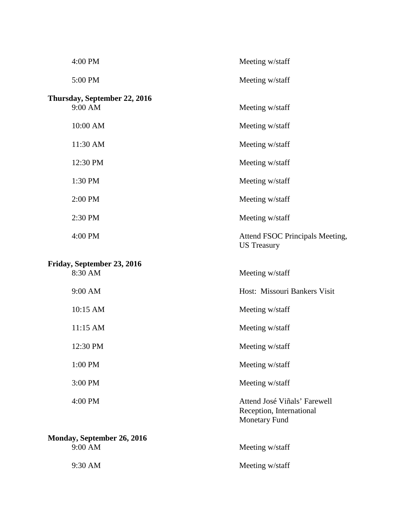| 4:00 PM                                 | Meeting w/staff                                                           |
|-----------------------------------------|---------------------------------------------------------------------------|
| 5:00 PM                                 | Meeting w/staff                                                           |
| Thursday, September 22, 2016<br>9:00 AM | Meeting w/staff                                                           |
| 10:00 AM                                | Meeting w/staff                                                           |
| 11:30 AM                                | Meeting w/staff                                                           |
| 12:30 PM                                | Meeting w/staff                                                           |
| 1:30 PM                                 | Meeting w/staff                                                           |
| 2:00 PM                                 | Meeting w/staff                                                           |
| 2:30 PM                                 | Meeting w/staff                                                           |
| 4:00 PM                                 | Attend FSOC Principals Meeting,<br><b>US Treasury</b>                     |
| Friday, September 23, 2016<br>8:30 AM   | Meeting w/staff                                                           |
| 9:00 AM                                 | Host: Missouri Bankers Visit                                              |
| 10:15 AM                                | Meeting w/staff                                                           |
| 11:15 AM                                | Meeting w/staff                                                           |
| 12:30 PM                                | Meeting w/staff                                                           |
| 1:00 PM                                 | Meeting w/staff                                                           |
| 3:00 PM                                 | Meeting w/staff                                                           |
| 4:00 PM                                 | Attend José Viñals' Farewell<br>Reception, International<br>Monetary Fund |
| Monday, September 26, 2016              |                                                                           |
| 9:00 AM                                 | Meeting w/staff                                                           |
| 9:30 AM                                 | Meeting w/staff                                                           |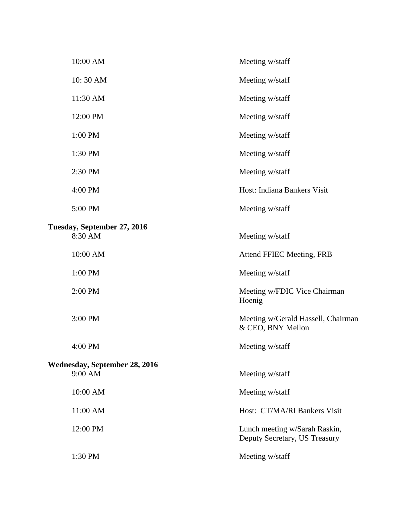| 10:00 AM                               | Meeting w/staff                                                |
|----------------------------------------|----------------------------------------------------------------|
| 10:30 AM                               | Meeting w/staff                                                |
| 11:30 AM                               | Meeting w/staff                                                |
| 12:00 PM                               | Meeting w/staff                                                |
| 1:00 PM                                | Meeting w/staff                                                |
| 1:30 PM                                | Meeting w/staff                                                |
| 2:30 PM                                | Meeting w/staff                                                |
| 4:00 PM                                | Host: Indiana Bankers Visit                                    |
| 5:00 PM                                | Meeting w/staff                                                |
|                                        |                                                                |
| Tuesday, September 27, 2016<br>8:30 AM | Meeting w/staff                                                |
| 10:00 AM                               | Attend FFIEC Meeting, FRB                                      |
| 1:00 PM                                | Meeting w/staff                                                |
| 2:00 PM                                | Meeting w/FDIC Vice Chairman<br>Hoenig                         |
| 3:00 PM                                | Meeting w/Gerald Hassell, Chairman<br>& CEO, BNY Mellon        |
| 4:00 PM                                | Meeting w/staff                                                |
| Wednesday, September 28, 2016          |                                                                |
| 9:00 AM                                | Meeting w/staff                                                |
| 10:00 AM                               | Meeting w/staff                                                |
| 11:00 AM                               | Host: CT/MA/RI Bankers Visit                                   |
| 12:00 PM                               | Lunch meeting w/Sarah Raskin,<br>Deputy Secretary, US Treasury |
| 1:30 PM                                | Meeting w/staff                                                |